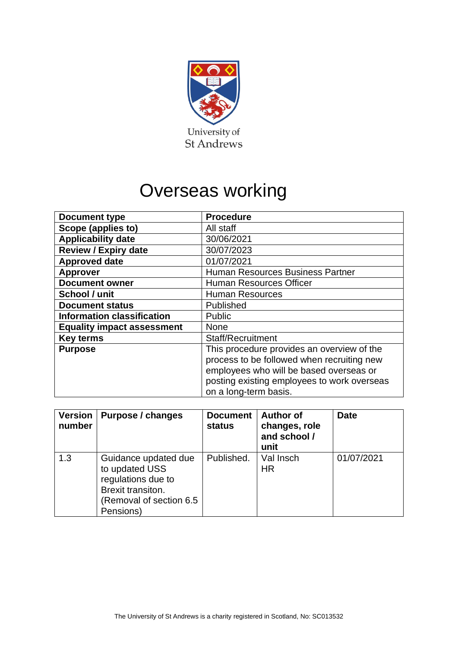

# Overseas working

| <b>Document type</b>              | <b>Procedure</b>                            |  |  |
|-----------------------------------|---------------------------------------------|--|--|
| Scope (applies to)                | All staff                                   |  |  |
| <b>Applicability date</b>         | 30/06/2021                                  |  |  |
| <b>Review / Expiry date</b>       | 30/07/2023                                  |  |  |
| <b>Approved date</b>              | 01/07/2021                                  |  |  |
| <b>Approver</b>                   | <b>Human Resources Business Partner</b>     |  |  |
| <b>Document owner</b>             | <b>Human Resources Officer</b>              |  |  |
| School / unit                     | <b>Human Resources</b>                      |  |  |
| <b>Document status</b>            | Published                                   |  |  |
| <b>Information classification</b> | <b>Public</b>                               |  |  |
| <b>Equality impact assessment</b> | <b>None</b>                                 |  |  |
| <b>Key terms</b>                  | Staff/Recruitment                           |  |  |
| <b>Purpose</b>                    | This procedure provides an overview of the  |  |  |
|                                   | process to be followed when recruiting new  |  |  |
|                                   | employees who will be based overseas or     |  |  |
|                                   | posting existing employees to work overseas |  |  |
|                                   | on a long-term basis.                       |  |  |

| <b>Version</b><br>number | Purpose / changes                                                                                                          | <b>Document</b><br><b>status</b> | <b>Author of</b><br>changes, role<br>and school /<br>unit | <b>Date</b> |
|--------------------------|----------------------------------------------------------------------------------------------------------------------------|----------------------------------|-----------------------------------------------------------|-------------|
| 1.3                      | Guidance updated due<br>to updated USS<br>regulations due to<br>Brexit transiton.<br>(Removal of section 6.5)<br>Pensions) | Published.                       | Val Insch<br><b>HR</b>                                    | 01/07/2021  |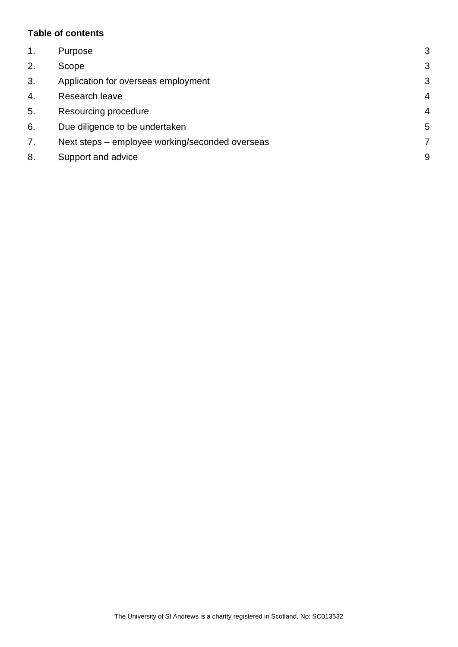# **Table of contents**

| $\mathbf 1$ . | Purpose                                         | 3 |
|---------------|-------------------------------------------------|---|
| 2.            | Scope                                           | 3 |
| 3.            | Application for overseas employment             | 3 |
| 4.            | Research leave                                  | 4 |
| 5.            | Resourcing procedure                            | 4 |
| 6.            | Due diligence to be undertaken                  | 5 |
| 7.            | Next steps – employee working/seconded overseas |   |
| 8.            | Support and advice                              | 9 |
|               |                                                 |   |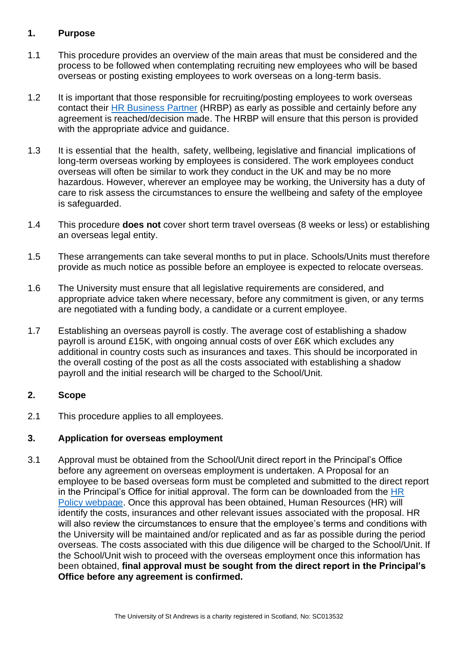# <span id="page-2-0"></span>**1. Purpose**

- 1.1 This procedure provides an overview of the main areas that must be considered and the process to be followed when contemplating recruiting new employees who will be based overseas or posting existing employees to work overseas on a long-term basis.
- 1.2 It is important that those responsible for recruiting/posting employees to work overseas contact their [HR Business Partner](https://www.st-andrews.ac.uk/hr/businesspartner/) (HRBP) as early as possible and certainly before any agreement is reached/decision made. The HRBP will ensure that this person is provided with the appropriate advice and guidance.
- 1.3 It is essential that the health, safety, wellbeing, legislative and financial implications of long-term overseas working by employees is considered. The work employees conduct overseas will often be similar to work they conduct in the UK and may be no more hazardous. However, wherever an employee may be working, the University has a duty of care to risk assess the circumstances to ensure the wellbeing and safety of the employee is safeguarded.
- 1.4 This procedure **does not** cover short term travel overseas (8 weeks or less) or establishing an overseas legal entity.
- 1.5 These arrangements can take several months to put in place. Schools/Units must therefore provide as much notice as possible before an employee is expected to relocate overseas.
- 1.6 The University must ensure that all legislative requirements are considered, and appropriate advice taken where necessary, before any commitment is given, or any terms are negotiated with a funding body, a candidate or a current employee.
- 1.7 Establishing an overseas payroll is costly. The average cost of establishing a shadow payroll is around £15K, with ongoing annual costs of over £6K which excludes any additional in country costs such as insurances and taxes. This should be incorporated in the overall costing of the post as all the costs associated with establishing a shadow payroll and the initial research will be charged to the School/Unit.

#### <span id="page-2-1"></span>**2. Scope**

2.1 This procedure applies to all employees.

# <span id="page-2-2"></span>**3. Application for overseas employment**

3.1 Approval must be obtained from the School/Unit direct report in the Principal's Office before any agreement on overseas employment is undertaken. A Proposal for an employee to be based overseas form must be completed and submitted to the direct report in the Principal's Office for initial approval. The form can be downloaded from the  $HR$ [Policy webpage.](https://www.st-andrews.ac.uk/media/human-resources/new-policy-section-documents/recruitmentselection/Proposal%20for%20employee%20to%20be%20based%20overseas.docx) Once this approval has been obtained, Human Resources (HR) will identify the costs, insurances and other relevant issues associated with the proposal. HR will also review the circumstances to ensure that the employee's terms and conditions with the University will be maintained and/or replicated and as far as possible during the period overseas. The costs associated with this due diligence will be charged to the School/Unit. If the School/Unit wish to proceed with the overseas employment once this information has been obtained, **final approval must be sought from the direct report in the Principal's Office before any agreement is confirmed.**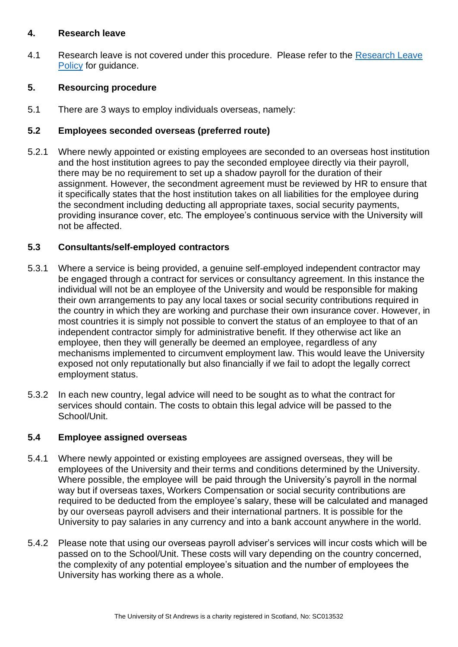#### <span id="page-3-0"></span>**4. Research leave**

4.1 Research leave is not covered under this procedure. Please refer to the [Research Leave](https://www.st-andrews.ac.uk/policy/research-research-impact-paid-leave/university-funded-paid-research-and-or-research-impact-leave-for-academic-staff.pdf)  [Policy](https://www.st-andrews.ac.uk/policy/research-research-impact-paid-leave/university-funded-paid-research-and-or-research-impact-leave-for-academic-staff.pdf) for guidance.

# <span id="page-3-1"></span>**5. Resourcing procedure**

5.1 There are 3 ways to employ individuals overseas, namely:

# **5.2 Employees seconded overseas (preferred route)**

5.2.1 Where newly appointed or existing employees are seconded to an overseas host institution and the host institution agrees to pay the seconded employee directly via their payroll, there may be no requirement to set up a shadow payroll for the duration of their assignment. However, the secondment agreement must be reviewed by HR to ensure that it specifically states that the host institution takes on all liabilities for the employee during the secondment including deducting all appropriate taxes, social security payments, providing insurance cover, etc. The employee's continuous service with the University will not be affected.

## **5.3 Consultants/self-employed contractors**

- 5.3.1 Where a service is being provided, a genuine self-employed independent contractor may be engaged through a contract for services or consultancy agreement. In this instance the individual will not be an employee of the University and would be responsible for making their own arrangements to pay any local taxes or social security contributions required in the country in which they are working and purchase their own insurance cover. However, in most countries it is simply not possible to convert the status of an employee to that of an independent contractor simply for administrative benefit. If they otherwise act like an employee, then they will generally be deemed an employee, regardless of any mechanisms implemented to circumvent employment law. This would leave the University exposed not only reputationally but also financially if we fail to adopt the legally correct employment status.
- 5.3.2 In each new country, legal advice will need to be sought as to what the contract for services should contain. The costs to obtain this legal advice will be passed to the School/Unit.

#### **5.4 Employee assigned overseas**

- 5.4.1 Where newly appointed or existing employees are assigned overseas, they will be employees of the University and their terms and conditions determined by the University. Where possible, the employee will be paid through the University's payroll in the normal way but if overseas taxes, Workers Compensation or social security contributions are required to be deducted from the employee's salary, these will be calculated and managed by our overseas payroll advisers and their international partners. It is possible for the University to pay salaries in any currency and into a bank account anywhere in the world.
- 5.4.2 Please note that using our overseas payroll adviser's services will incur costs which will be passed on to the School/Unit. These costs will vary depending on the country concerned, the complexity of any potential employee's situation and the number of employees the University has working there as a whole.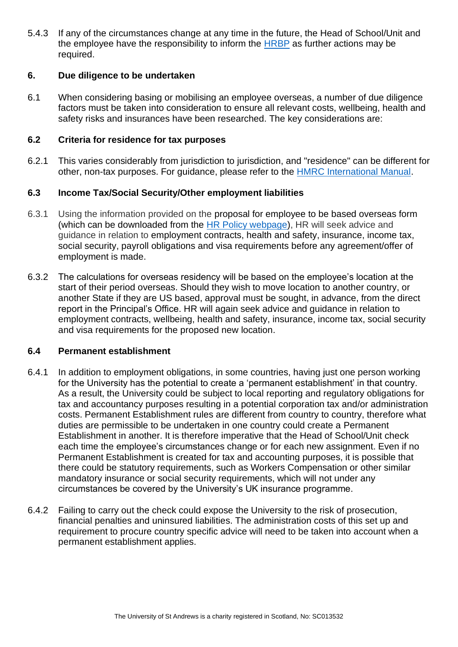5.4.3 If any of the circumstances change at any time in the future, the Head of School/Unit and the employee have the responsibility to inform the [HRBP](https://www.st-andrews.ac.uk/hr/businesspartner/) as further actions may be required.

## <span id="page-4-0"></span>**6. Due diligence to be undertaken**

6.1 When considering basing or mobilising an employee overseas, a number of due diligence factors must be taken into consideration to ensure all relevant costs, wellbeing, health and safety risks and insurances have been researched. The key considerations are:

#### **6.2 Criteria for residence for tax purposes**

6.2.1 This varies considerably from jurisdiction to jurisdiction, and "residence" can be different for other, non-tax purposes. For guidance, please refer to the [HMRC International Manual.](https://www.gov.uk/hmrc-internal-manuals/international-manual)

## **6.3 Income Tax/Social Security/Other employment liabilities**

- 6.3.1 Using the information provided on the proposal for employee to be based overseas form (which can be downloaded from the [HR Policy webpage\)](https://www.st-andrews.ac.uk/media/human-resources/new-policy-section-documents/recruitmentselection/Proposal%20for%20employee%20to%20be%20based%20overseas.docx), HR will seek advice and guidance in relation to employment contracts, health and safety, insurance, income tax, social security, payroll obligations and visa requirements before any agreement/offer of employment is made.
- 6.3.2 The calculations for overseas residency will be based on the employee's location at the start of their period overseas. Should they wish to move location to another country, or another State if they are US based, approval must be sought, in advance, from the direct report in the Principal's Office. HR will again seek advice and guidance in relation to employment contracts, wellbeing, health and safety, insurance, income tax, social security and visa requirements for the proposed new location.

#### **6.4 Permanent establishment**

- 6.4.1 In addition to employment obligations, in some countries, having just one person working for the University has the potential to create a 'permanent establishment' in that country. As a result, the University could be subject to local reporting and regulatory obligations for tax and accountancy purposes resulting in a potential corporation tax and/or administration costs. Permanent Establishment rules are different from country to country, therefore what duties are permissible to be undertaken in one country could create a Permanent Establishment in another. It is therefore imperative that the Head of School/Unit check each time the employee's circumstances change or for each new assignment. Even if no Permanent Establishment is created for tax and accounting purposes, it is possible that there could be statutory requirements, such as Workers Compensation or other similar mandatory insurance or social security requirements, which will not under any circumstances be covered by the University's UK insurance programme.
- 6.4.2 Failing to carry out the check could expose the University to the risk of prosecution, financial penalties and uninsured liabilities. The administration costs of this set up and requirement to procure country specific advice will need to be taken into account when a permanent establishment applies.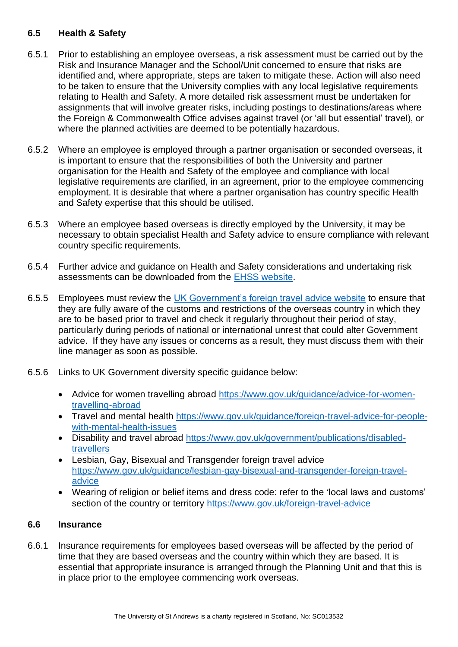# **6.5 Health & Safety**

- 6.5.1 Prior to establishing an employee overseas, a risk assessment must be carried out by the Risk and Insurance Manager and the School/Unit concerned to ensure that risks are identified and, where appropriate, steps are taken to mitigate these. Action will also need to be taken to ensure that the University complies with any local legislative requirements relating to Health and Safety. A more detailed risk assessment must be undertaken for assignments that will involve greater risks, including postings to destinations/areas where the Foreign & Commonwealth Office advises against travel (or 'all but essential' travel), or where the planned activities are deemed to be potentially hazardous.
- 6.5.2 Where an employee is employed through a partner organisation or seconded overseas, it is important to ensure that the responsibilities of both the University and partner organisation for the Health and Safety of the employee and compliance with local legislative requirements are clarified, in an agreement, prior to the employee commencing employment. It is desirable that where a partner organisation has country specific Health and Safety expertise that this should be utilised.
- 6.5.3 Where an employee based overseas is directly employed by the University, it may be necessary to obtain specialist Health and Safety advice to ensure compliance with relevant country specific requirements.
- 6.5.4 Further advice and guidance on Health and Safety considerations and undertaking risk assessments can be downloaded from the EHSS [website.](http://www.st-andrews.ac.uk/ehss/)
- 6.5.5 Employees must review the [UK Government's foreign travel advice website](https://www.gov.uk/foreign-travel-advice) to ensure that they are fully aware of the customs and restrictions of the overseas country in which they are to be based prior to travel and check it regularly throughout their period of stay, particularly during periods of national or international unrest that could alter Government advice. If they have any issues or concerns as a result, they must discuss them with their line manager as soon as possible.
- 6.5.6 Links to UK Government diversity specific guidance below:
	- Advice for women travelling abroad [https://www.gov.uk/guidance/advice-for-women](https://www.gov.uk/guidance/advice-for-women-travelling-abroad)[travelling-abroad](https://www.gov.uk/guidance/advice-for-women-travelling-abroad)
	- Travel and mental health [https://www.gov.uk/guidance/foreign-travel-advice-for-people](https://www.gov.uk/guidance/foreign-travel-advice-for-people-with-mental-health-issues)[with-mental-health-issues](https://www.gov.uk/guidance/foreign-travel-advice-for-people-with-mental-health-issues)
	- Disability and travel abroad [https://www.gov.uk/government/publications/disabled](https://www.gov.uk/government/publications/disabled-travellers)[travellers](https://www.gov.uk/government/publications/disabled-travellers)
	- Lesbian, Gay, Bisexual and Transgender foreign travel advice [https://www.gov.uk/guidance/lesbian-gay-bisexual-and-transgender-foreign-travel](https://www.gov.uk/guidance/lesbian-gay-bisexual-and-transgender-foreign-travel-advice)[advice](https://www.gov.uk/guidance/lesbian-gay-bisexual-and-transgender-foreign-travel-advice)
	- Wearing of religion or belief items and dress code: refer to the 'local laws and customs' section of the country or territory<https://www.gov.uk/foreign-travel-advice>

#### **6.6 Insurance**

6.6.1 Insurance requirements for employees based overseas will be affected by the period of time that they are based overseas and the country within which they are based. It is essential that appropriate insurance is arranged through the Planning Unit and that this is in place prior to the employee commencing work overseas.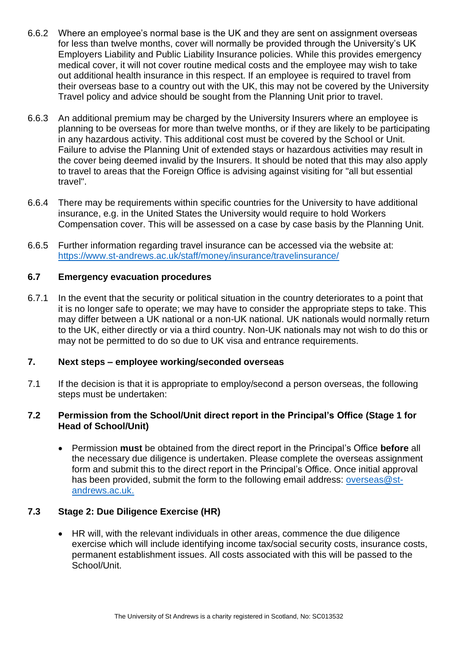- 6.6.2 Where an employee's normal base is the UK and they are sent on assignment overseas for less than twelve months, cover will normally be provided through the University's UK Employers Liability and Public Liability Insurance policies. While this provides emergency medical cover, it will not cover routine medical costs and the employee may wish to take out additional health insurance in this respect. If an employee is required to travel from their overseas base to a country out with the UK, this may not be covered by the University Travel policy and advice should be sought from the Planning Unit prior to travel.
- 6.6.3 An additional premium may be charged by the University Insurers where an employee is planning to be overseas for more than twelve months, or if they are likely to be participating in any hazardous activity. This additional cost must be covered by the School or Unit. Failure to advise the Planning Unit of extended stays or hazardous activities may result in the cover being deemed invalid by the Insurers. It should be noted that this may also apply to travel to areas that the Foreign Office is advising against visiting for "all but essential travel".
- 6.6.4 There may be requirements within specific countries for the University to have additional insurance, e.g. in the United States the University would require to hold Workers Compensation cover. This will be assessed on a case by case basis by the Planning Unit.
- 6.6.5 Further information regarding travel insurance can be accessed via the website at: <https://www.st-andrews.ac.uk/staff/money/insurance/travelinsurance/>

# **6.7 Emergency evacuation procedures**

6.7.1 In the event that the security or political situation in the country deteriorates to a point that it is no longer safe to operate; we may have to consider the appropriate steps to take. This may differ between a UK national or a non-UK national. UK nationals would normally return to the UK, either directly or via a third country. Non-UK nationals may not wish to do this or may not be permitted to do so due to UK visa and entrance requirements.

#### <span id="page-6-0"></span>**7. Next steps – employee working/seconded overseas**

7.1 If the decision is that it is appropriate to employ/second a person overseas, the following steps must be undertaken:

#### **7.2 Permission from the School/Unit direct report in the Principal's Office (Stage 1 for Head of School/Unit)**

• Permission **must** be obtained from the direct report in the Principal's Office **before** all the necessary due diligence is undertaken. Please complete the overseas assignment form and submit this to the direct report in the Principal's Office. Once initial approval has been provided, submit the form to the following email address: [overseas@st](mailto:overseas@st-andrews.ac.uk)[andrews.ac.uk.](mailto:overseas@st-andrews.ac.uk)

# **7.3 Stage 2: Due Diligence Exercise (HR)**

• HR will, with the relevant individuals in other areas, commence the due diligence exercise which will include identifying income tax/social security costs, insurance costs, permanent establishment issues. All costs associated with this will be passed to the School/Unit.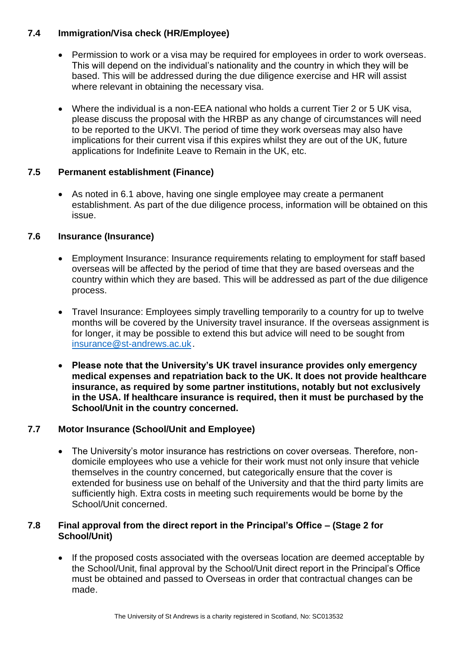# **7.4 Immigration/Visa check (HR/Employee)**

- Permission to work or a visa may be required for employees in order to work overseas. This will depend on the individual's nationality and the country in which they will be based. This will be addressed during the due diligence exercise and HR will assist where relevant in obtaining the necessary visa.
- Where the individual is a non-EEA national who holds a current Tier 2 or 5 UK visa, please discuss the proposal with the HRBP as any change of circumstances will need to be reported to the UKVI. The period of time they work overseas may also have implications for their current visa if this expires whilst they are out of the UK, future applications for Indefinite Leave to Remain in the UK, etc.

# **7.5 Permanent establishment (Finance)**

• As noted in 6.1 above, having one single employee may create a permanent establishment. As part of the due diligence process, information will be obtained on this issue.

# **7.6 Insurance (Insurance)**

- Employment Insurance: Insurance requirements relating to employment for staff based overseas will be affected by the period of time that they are based overseas and the country within which they are based. This will be addressed as part of the due diligence process.
- Travel Insurance: Employees simply travelling temporarily to a country for up to twelve months will be covered by the University travel insurance. If the overseas assignment is for longer, it may be possible to extend this but advice will need to be sought from [insurance@st-andrews.ac.uk.](mailto:insurance@st-andrews.ac.uk)
- **Please note that the University's UK travel insurance provides only emergency medical expenses and repatriation back to the UK. It does not provide healthcare insurance, as required by some partner institutions, notably but not exclusively in the USA. If healthcare insurance is required, then it must be purchased by the School/Unit in the country concerned.**

# **7.7 Motor Insurance (School/Unit and Employee)**

• The University's motor insurance has restrictions on cover overseas. Therefore, nondomicile employees who use a vehicle for their work must not only insure that vehicle themselves in the country concerned, but categorically ensure that the cover is extended for business use on behalf of the University and that the third party limits are sufficiently high. Extra costs in meeting such requirements would be borne by the School/Unit concerned.

## **7.8 Final approval from the direct report in the Principal's Office – (Stage 2 for School/Unit)**

• If the proposed costs associated with the overseas location are deemed acceptable by the School/Unit, final approval by the School/Unit direct report in the Principal's Office must be obtained and passed to Overseas in order that contractual changes can be made.